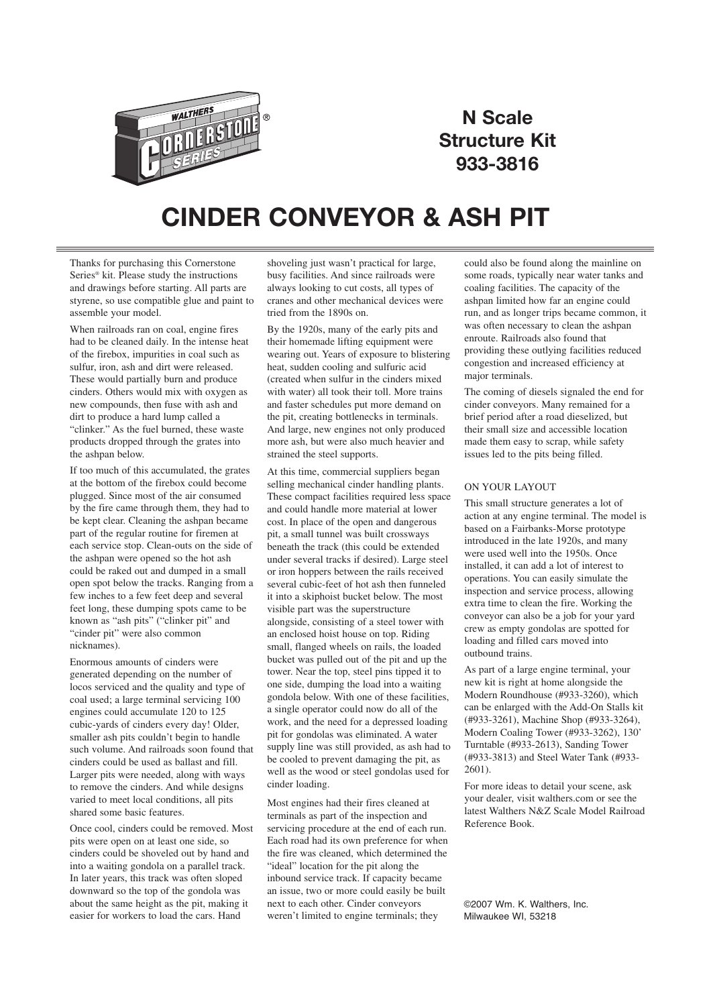

## **N Scale Structure Kit 933-3816**

## **CINDER CONVEYOR & ASH PIT**

Thanks for purchasing this Cornerstone Series® kit. Please study the instructions and drawings before starting. All parts are styrene, so use compatible glue and paint to assemble your model.

When railroads ran on coal, engine fires had to be cleaned daily. In the intense heat of the firebox, impurities in coal such as sulfur, iron, ash and dirt were released. These would partially burn and produce cinders. Others would mix with oxygen as new compounds, then fuse with ash and dirt to produce a hard lump called a "clinker." As the fuel burned, these waste products dropped through the grates into the ashpan below.

If too much of this accumulated, the grates at the bottom of the firebox could become plugged. Since most of the air consumed by the fire came through them, they had to be kept clear. Cleaning the ashpan became part of the regular routine for firemen at each service stop. Clean-outs on the side of the ashpan were opened so the hot ash could be raked out and dumped in a small open spot below the tracks. Ranging from a few inches to a few feet deep and several feet long, these dumping spots came to be known as "ash pits" ("clinker pit" and "cinder pit" were also common nicknames).

Enormous amounts of cinders were generated depending on the number of locos serviced and the quality and type of coal used; a large terminal servicing 100 engines could accumulate 120 to 125 cubic-yards of cinders every day! Older, smaller ash pits couldn't begin to handle such volume. And railroads soon found that cinders could be used as ballast and fill. Larger pits were needed, along with ways to remove the cinders. And while designs varied to meet local conditions, all pits shared some basic features.

Once cool, cinders could be removed. Most pits were open on at least one side, so cinders could be shoveled out by hand and into a waiting gondola on a parallel track. In later years, this track was often sloped downward so the top of the gondola was about the same height as the pit, making it easier for workers to load the cars. Hand

shoveling just wasn't practical for large, busy facilities. And since railroads were always looking to cut costs, all types of cranes and other mechanical devices were tried from the 1890s on.

By the 1920s, many of the early pits and their homemade lifting equipment were wearing out. Years of exposure to blistering heat, sudden cooling and sulfuric acid (created when sulfur in the cinders mixed with water) all took their toll. More trains and faster schedules put more demand on the pit, creating bottlenecks in terminals. And large, new engines not only produced more ash, but were also much heavier and strained the steel supports.

At this time, commercial suppliers began selling mechanical cinder handling plants. These compact facilities required less space and could handle more material at lower cost. In place of the open and dangerous pit, a small tunnel was built crossways beneath the track (this could be extended under several tracks if desired). Large steel or iron hoppers between the rails received several cubic-feet of hot ash then funneled it into a skiphoist bucket below. The most visible part was the superstructure alongside, consisting of a steel tower with an enclosed hoist house on top. Riding small, flanged wheels on rails, the loaded bucket was pulled out of the pit and up the tower. Near the top, steel pins tipped it to one side, dumping the load into a waiting gondola below. With one of these facilities, a single operator could now do all of the work, and the need for a depressed loading pit for gondolas was eliminated. A water supply line was still provided, as ash had to be cooled to prevent damaging the pit, as well as the wood or steel gondolas used for cinder loading.

Most engines had their fires cleaned at terminals as part of the inspection and servicing procedure at the end of each run. Each road had its own preference for when the fire was cleaned, which determined the "ideal" location for the pit along the inbound service track. If capacity became an issue, two or more could easily be built next to each other. Cinder conveyors weren't limited to engine terminals; they

could also be found along the mainline on some roads, typically near water tanks and coaling facilities. The capacity of the ashpan limited how far an engine could run, and as longer trips became common, it was often necessary to clean the ashpan enroute. Railroads also found that providing these outlying facilities reduced congestion and increased efficiency at major terminals.

The coming of diesels signaled the end for cinder conveyors. Many remained for a brief period after a road dieselized, but their small size and accessible location made them easy to scrap, while safety issues led to the pits being filled.

## ON YOUR LAYOUT

This small structure generates a lot of action at any engine terminal. The model is based on a Fairbanks-Morse prototype introduced in the late 1920s, and many were used well into the 1950s. Once installed, it can add a lot of interest to operations. You can easily simulate the inspection and service process, allowing extra time to clean the fire. Working the conveyor can also be a job for your yard crew as empty gondolas are spotted for loading and filled cars moved into outbound trains.

As part of a large engine terminal, your new kit is right at home alongside the Modern Roundhouse (#933-3260), which can be enlarged with the Add-On Stalls kit (#933-3261), Machine Shop (#933-3264), Modern Coaling Tower (#933-3262), 130' Turntable (#933-2613), Sanding Tower (#933-3813) and Steel Water Tank (#933- 2601).

For more ideas to detail your scene, ask your dealer, visit walthers.com or see the latest Walthers N&Z Scale Model Railroad Reference Book.

©2007 Wm. K. Walthers, Inc. Milwaukee WI, 53218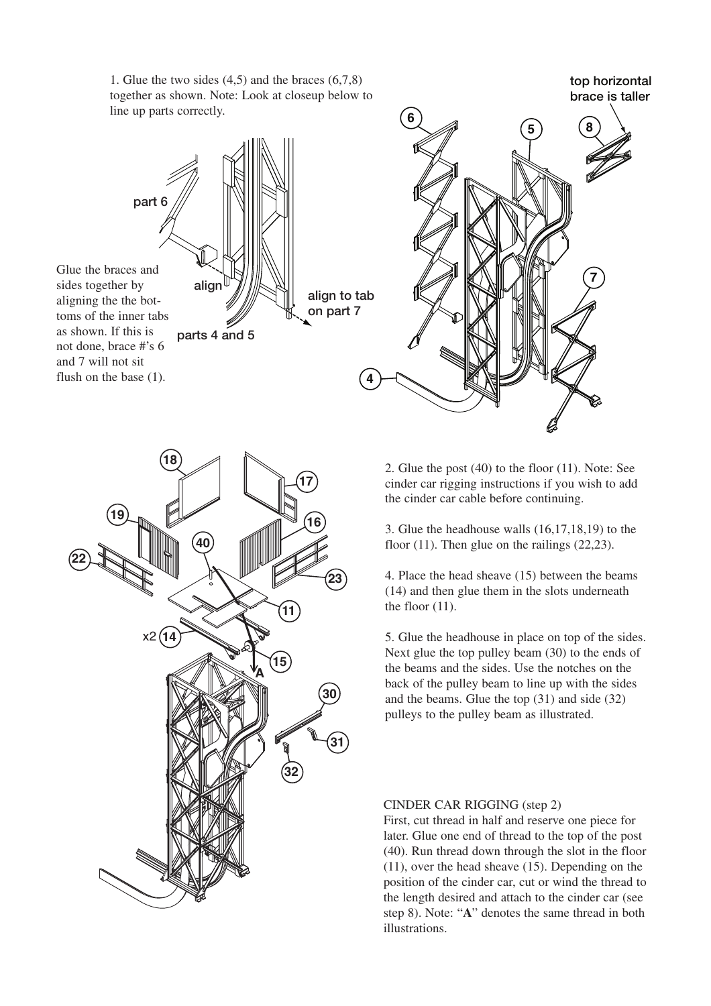1. Glue the two sides (4,5) and the braces (6,7,8) together as shown. Note: Look at closeup below to line up parts correctly.

part 6 align Glue the braces and sides together by aligning the the bot-

toms of the inner tabs as shown. If this is not done, brace #'s 6 and 7 will not sit flush on the base (1).







2. Glue the post (40) to the floor (11). Note: See cinder car rigging instructions if you wish to add the cinder car cable before continuing.

3. Glue the headhouse walls (16,17,18,19) to the floor  $(11)$ . Then glue on the railings  $(22,23)$ .

4. Place the head sheave (15) between the beams (14) and then glue them in the slots underneath the floor (11).

5. Glue the headhouse in place on top of the sides. Next glue the top pulley beam (30) to the ends of the beams and the sides. Use the notches on the back of the pulley beam to line up with the sides and the beams. Glue the top (31) and side (32) pulleys to the pulley beam as illustrated.

## CINDER CAR RIGGING (step 2)

First, cut thread in half and reserve one piece for later. Glue one end of thread to the top of the post (40). Run thread down through the slot in the floor (11), over the head sheave (15). Depending on the position of the cinder car, cut or wind the thread to the length desired and attach to the cinder car (see step 8). Note: "**A**" denotes the same thread in both illustrations.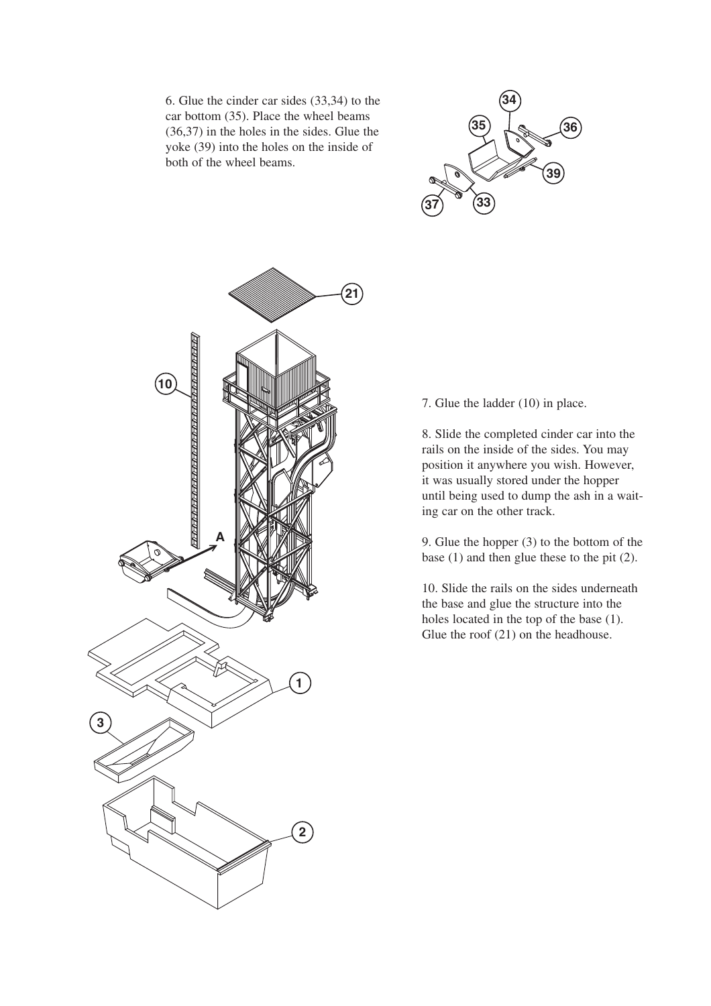6. Glue the cinder car sides (33,34) to the car bottom (35). Place the wheel beams (36,37) in the holes in the sides. Glue the yoke (39) into the holes on the inside of both of the wheel beams.





7. Glue the ladder (10) in place.

8. Slide the completed cinder car into the rails on the inside of the sides. You may position it anywhere you wish. However, it was usually stored under the hopper until being used to dump the ash in a waiting car on the other track.

9. Glue the hopper (3) to the bottom of the base (1) and then glue these to the pit (2).

10. Slide the rails on the sides underneath the base and glue the structure into the holes located in the top of the base (1). Glue the roof (21) on the headhouse.